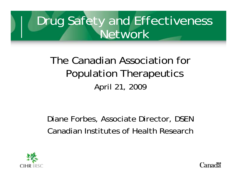#### Drug Safety and Effectiveness **Network**

The Canadian Association for Population Therapeutics April 21, 2009

Diane Forbes, Associate Director, DSEN Canadian Institutes of Health Research

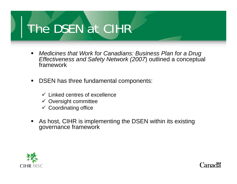### The DSEN at CIHR

- $\blacksquare$  *Medicines that Work for Canadians: Business Plan for a Drug Effectiveness and Safety Network (2007*) outlined a conceptual framework
- $\blacksquare$  DSEN has three fundamental components:
	- $\checkmark$  Linked centres of excellence
	- $\checkmark$  Oversight committee
	- $\checkmark$  Coordinating office
- $\blacksquare$  As host, CIHR is implementing the DSEN within its existing governance framework

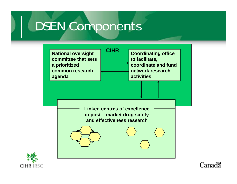### DSEN Components





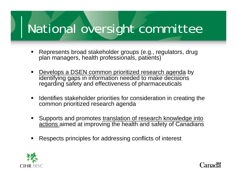#### National oversi ght committee

- Represents broad stakeholder groups (e.g., regulators, drug plan managers, health professionals, patients)
- Develops a DSEN common prioritized research agenda by identifying gaps in information needed to make decisions regarding safety and effectiveness of pharmaceuticals
- $\blacksquare$  Identifies stakeholder priorities for consideration in creating the common prioritized research agenda
- ٠ Supports and promotes translation of research knowledge into <u>actions </u>aimed at improving the health and safety of Canadians
- Respects principles for addressing conflicts of interest

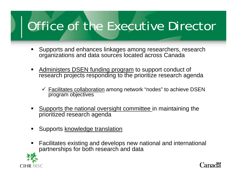## Office of the Executive Director

- ٠ Supports and enhances linkages among researchers, research organizations and data sources located across Canada
- **Administers DSEN funding program to support conduct of** research projects responding to the prioritize research agenda
	- $\checkmark$  Facilitates collaboration among network "nodes" to achieve DSEN program objectives
- Supports the national oversight committee in maintaining the prioritized research agenda
- Supports <u>knowledge translation</u>
- Facilitates existing and develops new national and international partnerships for both research and data

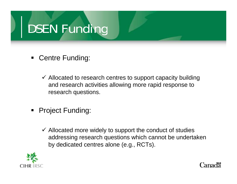# DSEN Funding

- Centre Funding:
	- $\checkmark$  Allocated to research centres to support capacity building and research activities allowing more rapid response to research questions.
- ٠ Project Funding:
	- $\checkmark$  Allocated more widely to support the conduct of studies addressing research questions which cannot be undertaken by dedicated centres alone (e.g., RCTs).

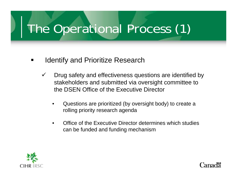# The Operational Process (1)

- $\blacksquare$  Identify and Prioritize Research
	- $\checkmark$  Drug safety and effectiveness questions are identified by stak eholders and submitted via oversight committee to the DSEN Office of the Executive Director
		- • Questions are prioritized (by oversight body) to create <sup>a</sup> rolling priority research agenda
		- • Office of the Executive Director determines which studies can be funded and funding mechanism



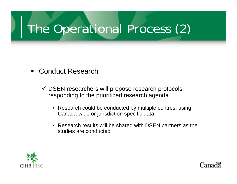# The Operational Process (2)

- ٠ Conduct Research
	- $\checkmark$  DSEN researchers will propose research protocols responding to the prioritized research agenda
		- Research could be conducted by multiple centres, using Canada-wide or jurisdiction specific data
		- $\bullet~$  Research results will be shared with DSEN partners as the studies are conducted

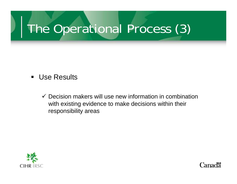# The Operational Process (3)

- ٠ Use Results
	- $\checkmark$  Decision makers will use new information in combination with existing evidence to make decisions within their responsibility areas

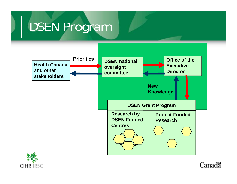# DSEN Program



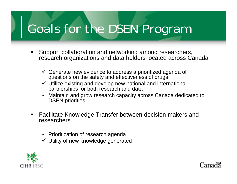#### Goals for the DSEN Pro gram

- Support collaboration and networking among researchers, research organizations and data holders located across Canada
	- $\checkmark$  Generate new evidence to address a prioritized agenda of questions on the safety and effectiveness of drugs
	- $\checkmark$  Utilize existing and develop new national and international partnerships for both research and data
	- $\checkmark$  Maintain and grow research capacity across Canada dedicated to DSEN priorities
- $\blacksquare$  Facilitate Knowledge Transfer between decision makers and researchers
	- $\checkmark$  Prioritization of research agenda
	- $\checkmark$  Utility of new knowledge generated

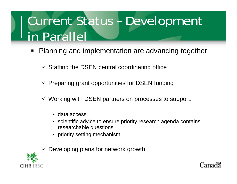## Current Status – Development in Parallel

- **Planning and implementation are advancing together** 
	- $\checkmark$  Staffing the DSEN central coordinating office
	- $\checkmark$  Preparing grant opportunities for DSEN funding
	- $\checkmark$  Working with DSEN partners on processes to support:
		- $\bullet$ data access
		- $\bullet$  scientific advice to ensure priority research agenda contains researchable questions
		- priority setting mechanism
	- $\checkmark$  Developing plans for network growth



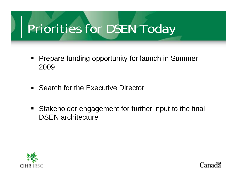#### Priorities for DSEN Toda y

- $\blacksquare$ Prepare funding opportunity for launch in Summer 2009
- **Search for the Executive Director**
- $\blacksquare$  Stakeholder engagement for further input to the final DSEN architecture